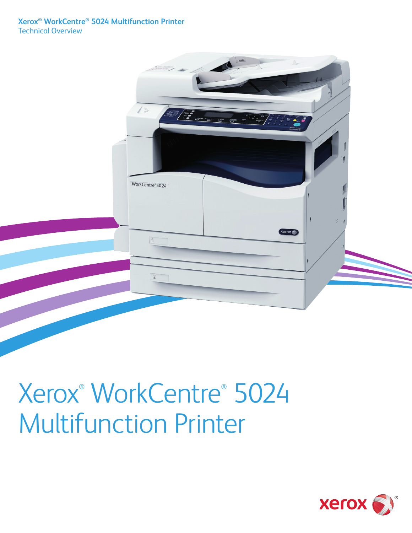

## Xerox® WorkCentre® 5024 Multifunction Printer

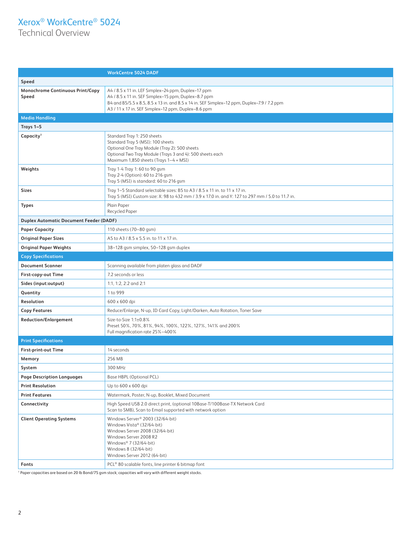## Xerox® WorkCentre® 5024

Technical Overview

|                                                | <b>WorkCentre 5024 DADF</b>                                                                                                                                                                                                                                       |  |  |  |  |
|------------------------------------------------|-------------------------------------------------------------------------------------------------------------------------------------------------------------------------------------------------------------------------------------------------------------------|--|--|--|--|
| Speed                                          |                                                                                                                                                                                                                                                                   |  |  |  |  |
| Monochrome Continuous Print/Copy<br>Speed      | A4 / 8.5 x 11 in. LEF Simplex-24 ppm, Duplex-17 ppm<br>A4 / 8.5 x 11 in. SEF Simplex-15 ppm, Duplex-8.7 ppm<br>B4 and B5/5.5 x 8.5, 8.5 x 13 in. and 8.5 x 14 in. SEF Simplex-12 ppm, Duplex-7.9 / 7.2 ppm<br>A3 / 11 x 17 in. SEF Simplex-12 ppm, Duplex-8.6 ppm |  |  |  |  |
| <b>Media Handling</b>                          |                                                                                                                                                                                                                                                                   |  |  |  |  |
| Trays 1-5                                      |                                                                                                                                                                                                                                                                   |  |  |  |  |
| Capacity <sup>1</sup>                          | Standard Tray 1: 250 sheets<br>Standard Tray 5 (MSI): 100 sheets<br>Optional One Tray Module (Tray 2): 500 sheets<br>Optional Two Tray Module (Trays 3 and 4): 500 sheets each<br>Maximum 1,850 sheets (Trays 1-4 + MSI)                                          |  |  |  |  |
| Weights                                        | Tray 1-4 Tray 1: 60 to 90 gsm<br>Tray 2-4 (Option): 60 to 216 gsm<br>Tray 5 (MSI) is standard: 60 to 216 gsm                                                                                                                                                      |  |  |  |  |
| Sizes                                          | Tray 1-5 Standard selectable sizes: B5 to A3 / 8.5 x 11 in. to 11 x 17 in.<br>Tray 5 (MSI) Custom size: X: 98 to 432 mm / 3.9 x 17.0 in. and Y: 127 to 297 mm / 5.0 to 11.7 in.                                                                                   |  |  |  |  |
| <b>Types</b>                                   | Plain Paper<br><b>Recycled Paper</b>                                                                                                                                                                                                                              |  |  |  |  |
| <b>Duplex Automatic Document Feeder (DADF)</b> |                                                                                                                                                                                                                                                                   |  |  |  |  |
| <b>Paper Capacity</b>                          | 110 sheets (70-80 gsm)                                                                                                                                                                                                                                            |  |  |  |  |
| <b>Original Paper Sizes</b>                    | A5 to A3 / 8.5 x 5.5 in. to 11 x 17 in.                                                                                                                                                                                                                           |  |  |  |  |
| <b>Original Paper Weights</b>                  | 38-128 gsm simplex, 50-128 gsm duplex                                                                                                                                                                                                                             |  |  |  |  |
| <b>Copy Specifications</b>                     |                                                                                                                                                                                                                                                                   |  |  |  |  |
| <b>Document Scanner</b>                        | Scanning available from platen glass and DADF                                                                                                                                                                                                                     |  |  |  |  |
| First-copy-out Time                            | 7.2 seconds or less                                                                                                                                                                                                                                               |  |  |  |  |
| Sides (input:output)                           | 1:1, 1:2, 2:2 and 2:1                                                                                                                                                                                                                                             |  |  |  |  |
| Quantity                                       | 1 to 999                                                                                                                                                                                                                                                          |  |  |  |  |
| Resolution                                     | 600 x 600 dpi                                                                                                                                                                                                                                                     |  |  |  |  |
| <b>Copy Features</b>                           | Reduce/Enlarge, N-up, ID Card Copy, Light/Darken, Auto Rotation, Toner Save                                                                                                                                                                                       |  |  |  |  |
| <b>Reduction/Enlargement</b>                   | Size-to-Size 1:1±0.8%<br>Preset 50%, 70%, 81%, 94%, 100%, 122%, 127%, 141% and 200%<br>Full magnification rate 25%-400%                                                                                                                                           |  |  |  |  |
| <b>Print Specifications</b>                    |                                                                                                                                                                                                                                                                   |  |  |  |  |
| <b>First-print-out Time</b>                    | 14 seconds                                                                                                                                                                                                                                                        |  |  |  |  |
| Memory                                         | 256 MB                                                                                                                                                                                                                                                            |  |  |  |  |
| System                                         | 300 MHz                                                                                                                                                                                                                                                           |  |  |  |  |
| <b>Page Description Languages</b>              | Base HBPL (Optional PCL)                                                                                                                                                                                                                                          |  |  |  |  |
| <b>Print Resolution</b>                        | Up to 600 x 600 dpi                                                                                                                                                                                                                                               |  |  |  |  |
| <b>Print Features</b>                          | Watermark, Poster, N-up, Booklet, Mixed Document                                                                                                                                                                                                                  |  |  |  |  |
| Connectivity                                   | High Speed USB 2.0 direct print, (optional 10Base-T/100Base-TX Network Card<br>Scan to SMB), Scan to Email supported with network option                                                                                                                          |  |  |  |  |
| <b>Client Operating Systems</b>                | Windows Server® 2003 (32/64-bit)<br>Windows Vista® (32/64-bit)<br>Windows Server 2008 (32/64-bit)<br>Windows Server 2008 R2<br>Windows® 7 (32/64-bit)<br>Windows 8 (32/64-bit)<br>Windows Server 2012 (64-bit)                                                    |  |  |  |  |
| Fonts                                          | PCL® 80 scalable fonts, line printer 6 bitmap font                                                                                                                                                                                                                |  |  |  |  |

1 Paper capacities are based on 20 lb Bond/75 gsm stock; capacities will vary with different weight stocks.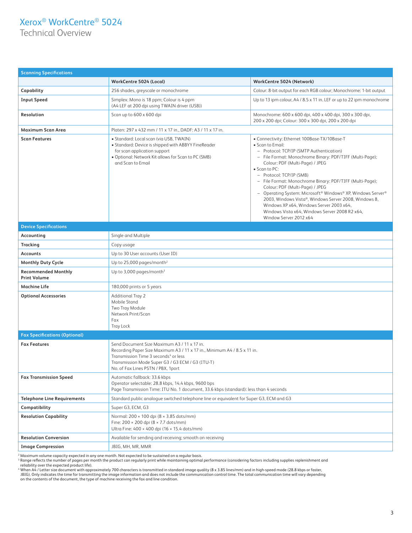## Xerox® WorkCentre® 5024

Technical Overview

| <b>Scanning Specifications</b>                    |                                                                                                                                                                                                                                                                       |                                                                                                                                                                                                                                                                                                                                                                                                                                                                                                                                                                                                                     |  |  |  |
|---------------------------------------------------|-----------------------------------------------------------------------------------------------------------------------------------------------------------------------------------------------------------------------------------------------------------------------|---------------------------------------------------------------------------------------------------------------------------------------------------------------------------------------------------------------------------------------------------------------------------------------------------------------------------------------------------------------------------------------------------------------------------------------------------------------------------------------------------------------------------------------------------------------------------------------------------------------------|--|--|--|
|                                                   | <b>WorkCentre 5024 (Local)</b>                                                                                                                                                                                                                                        | WorkCentre 5024 (Network)                                                                                                                                                                                                                                                                                                                                                                                                                                                                                                                                                                                           |  |  |  |
| Capability                                        | 256 shades, greyscale or monochrome                                                                                                                                                                                                                                   | Colour: 8-bit output for each RGB colour; Monochrome: 1-bit output                                                                                                                                                                                                                                                                                                                                                                                                                                                                                                                                                  |  |  |  |
| <b>Input Speed</b>                                | Simplex: Mono is 18 ppm; Colour is 4 ppm<br>(A4 LEF at 200 dpi using TWAIN driver (USB))                                                                                                                                                                              | Up to 13 ipm colour, A4 / 8.5 x 11 in. LEF or up to 22 ipm monochrome                                                                                                                                                                                                                                                                                                                                                                                                                                                                                                                                               |  |  |  |
| Resolution                                        | Scan up to 600 x 600 dpi                                                                                                                                                                                                                                              | Monochrome: 600 x 600 dpi, 400 x 400 dpi, 300 x 300 dpi,<br>200 x 200 dpi; Colour: 300 x 300 dpi, 200 x 200 dpi                                                                                                                                                                                                                                                                                                                                                                                                                                                                                                     |  |  |  |
| Maximum Scan Area                                 | Platen: 297 x 432 mm / 11 x 17 in., DADF: A3 / 11 x 17 in.                                                                                                                                                                                                            |                                                                                                                                                                                                                                                                                                                                                                                                                                                                                                                                                                                                                     |  |  |  |
| <b>Scan Features</b>                              | • Standard: Local scan (via USB, TWAIN)<br>• Standard: Device is shipped with ABBYY FineReader<br>for scan application support<br>· Optional: Network Kit allows for Scan to PC (SMB)<br>and Scan to Email                                                            | • Connectivity: Ethernet 100Base-TX/10Base-T<br>• Scan to Email:<br>- Protocol: TCP/IP (SMTP Authentication)<br>- File Format: Monochrome Binary: PDF/TIFF (Multi-Page);<br>Colour: PDF (Multi-Page) / JPEG<br>• Scan to PC:<br>- Protocol: TCP/IP (SMB)<br>- File Format: Monochrome Binary: PDF/TIFF (Multi-Page);<br>Colour: PDF (Multi-Page) / JPEG<br>- Operating System: Microsoft <sup>®</sup> Windows® XP, Windows Server®<br>2003, Windows Vista®, Windows Server 2008, Windows 8,<br>Windows XP x64, Windows Server 2003 x64,<br>Windows Vista x64, Windows Server 2008 R2 x64,<br>Window Server 2012 x64 |  |  |  |
| <b>Device Specifications</b>                      |                                                                                                                                                                                                                                                                       |                                                                                                                                                                                                                                                                                                                                                                                                                                                                                                                                                                                                                     |  |  |  |
| Accounting                                        | Single and Multiple                                                                                                                                                                                                                                                   |                                                                                                                                                                                                                                                                                                                                                                                                                                                                                                                                                                                                                     |  |  |  |
| Tracking                                          | Copy usage                                                                                                                                                                                                                                                            |                                                                                                                                                                                                                                                                                                                                                                                                                                                                                                                                                                                                                     |  |  |  |
| <b>Accounts</b>                                   | Up to 30 User accounts (User ID)                                                                                                                                                                                                                                      |                                                                                                                                                                                                                                                                                                                                                                                                                                                                                                                                                                                                                     |  |  |  |
| <b>Monthly Duty Cycle</b>                         | Up to 25,000 pages/month <sup>2</sup>                                                                                                                                                                                                                                 |                                                                                                                                                                                                                                                                                                                                                                                                                                                                                                                                                                                                                     |  |  |  |
| <b>Recommended Monthly</b><br><b>Print Volume</b> | Up to 3,000 pages/month $3$                                                                                                                                                                                                                                           |                                                                                                                                                                                                                                                                                                                                                                                                                                                                                                                                                                                                                     |  |  |  |
| <b>Machine Life</b>                               | 180,000 prints or 5 years                                                                                                                                                                                                                                             |                                                                                                                                                                                                                                                                                                                                                                                                                                                                                                                                                                                                                     |  |  |  |
| <b>Optional Accessories</b>                       | <b>Additional Tray 2</b><br>Mobile Stand<br>Two Tray Module<br>Network Print/Scan<br>Fax<br><b>Tray Lock</b>                                                                                                                                                          |                                                                                                                                                                                                                                                                                                                                                                                                                                                                                                                                                                                                                     |  |  |  |
| <b>Fax Specifications (Optional)</b>              |                                                                                                                                                                                                                                                                       |                                                                                                                                                                                                                                                                                                                                                                                                                                                                                                                                                                                                                     |  |  |  |
| <b>Fax Features</b>                               | Send Document Size Maximum A3 / 11 x 17 in.<br>Recording Paper Size Maximum A3 / 11 x 17 in., Minimum A4 / 8.5 x 11 in.<br>Transmission Time 3 seconds <sup>4</sup> or less<br>Transmission Mode Super G3 / G3 ECM / G3 (ITU-T)<br>No. of Fax Lines PSTN / PBX, 1port |                                                                                                                                                                                                                                                                                                                                                                                                                                                                                                                                                                                                                     |  |  |  |
| <b>Fax Transmission Speed</b>                     | Automatic fallback: 33.6 kbps<br>Operator selectable: 28.8 kbps, 14.4 kbps, 9600 bps<br>Page Transmission Time: ITU No. 1 document, 33.6 kbps (standard): less than 4 seconds                                                                                         |                                                                                                                                                                                                                                                                                                                                                                                                                                                                                                                                                                                                                     |  |  |  |
| <b>Telephone Line Requirements</b>                | Standard public analogue switched telephone line or equivalent for Super G3, ECM and G3                                                                                                                                                                               |                                                                                                                                                                                                                                                                                                                                                                                                                                                                                                                                                                                                                     |  |  |  |
| Compatibility                                     | Super G3, ECM, G3                                                                                                                                                                                                                                                     |                                                                                                                                                                                                                                                                                                                                                                                                                                                                                                                                                                                                                     |  |  |  |
| <b>Resolution Capability</b>                      | Normal: 200 × 100 dpi (8 × 3.85 dots/mm)<br>Fine: 200 × 200 dpi (8 × 7.7 dots/mm)<br>Ultra Fine: 400 × 400 dpi (16 × 15.4 dots/mm)                                                                                                                                    |                                                                                                                                                                                                                                                                                                                                                                                                                                                                                                                                                                                                                     |  |  |  |
| <b>Resolution Conversion</b>                      | Available for sending and receiving; smooth on receiving                                                                                                                                                                                                              |                                                                                                                                                                                                                                                                                                                                                                                                                                                                                                                                                                                                                     |  |  |  |
| <b>Image Compression</b>                          | JBIG, MH, MR, MMR                                                                                                                                                                                                                                                     |                                                                                                                                                                                                                                                                                                                                                                                                                                                                                                                                                                                                                     |  |  |  |

<sup>2</sup> Maximum volume capacity expected in any one month. Not expected to be sustained on a regular basis.<br><sup>2</sup> Range reflects the number of pages per month the product can regularly print while maintaining optimal performance